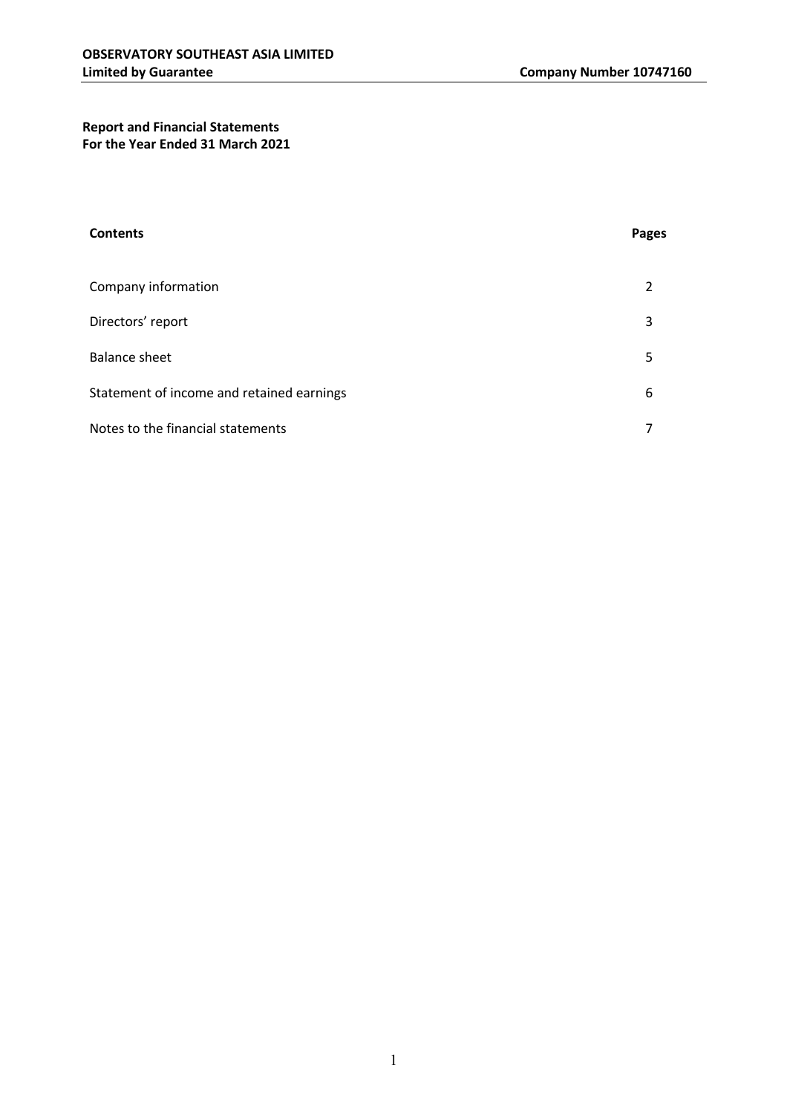# **Report and Financial Statements For the Year Ended 31 March 2021**

| <b>Contents</b>                           | Pages         |
|-------------------------------------------|---------------|
| Company information                       | $\mathcal{P}$ |
| Directors' report                         | 3             |
| Balance sheet                             | 5             |
| Statement of income and retained earnings | 6             |
| Notes to the financial statements         |               |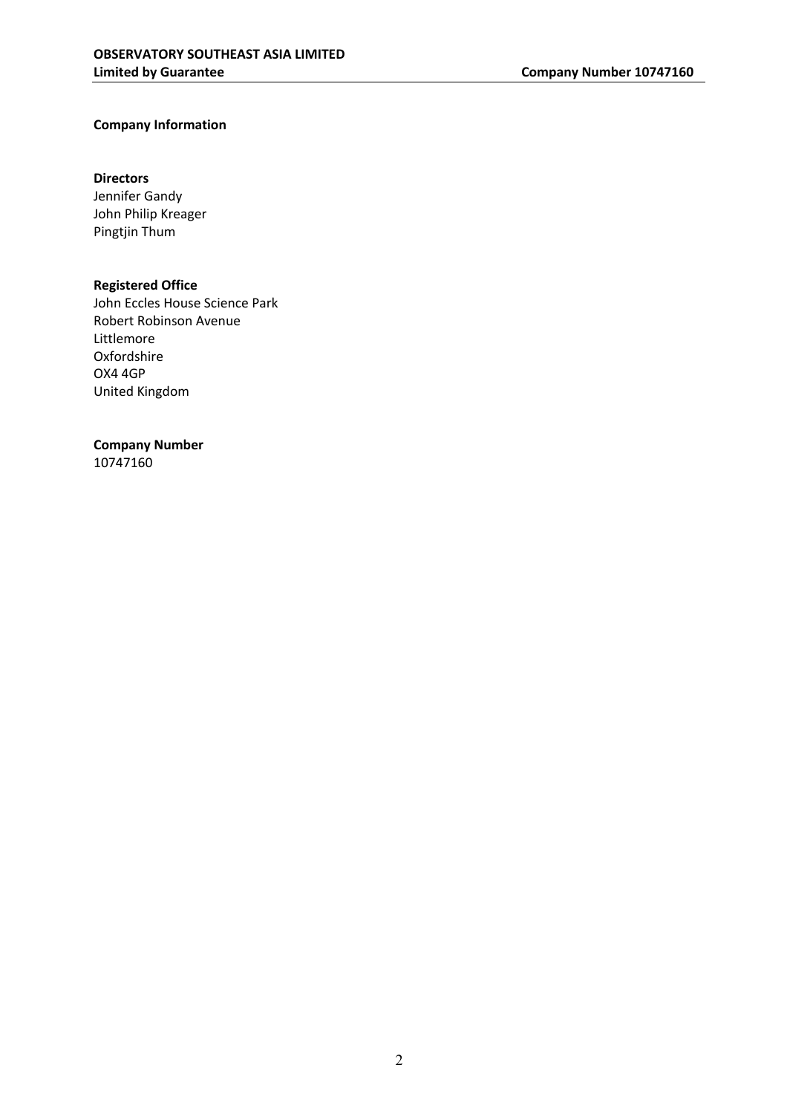# **Company Information**

#### **Directors**

Jennifer Gandy John Philip Kreager Pingtjin Thum

## **Registered Office**

John Eccles House Science Park Robert Robinson Avenue Littlemore Oxfordshire OX4 4GP United Kingdom

# **Company Number**

10747160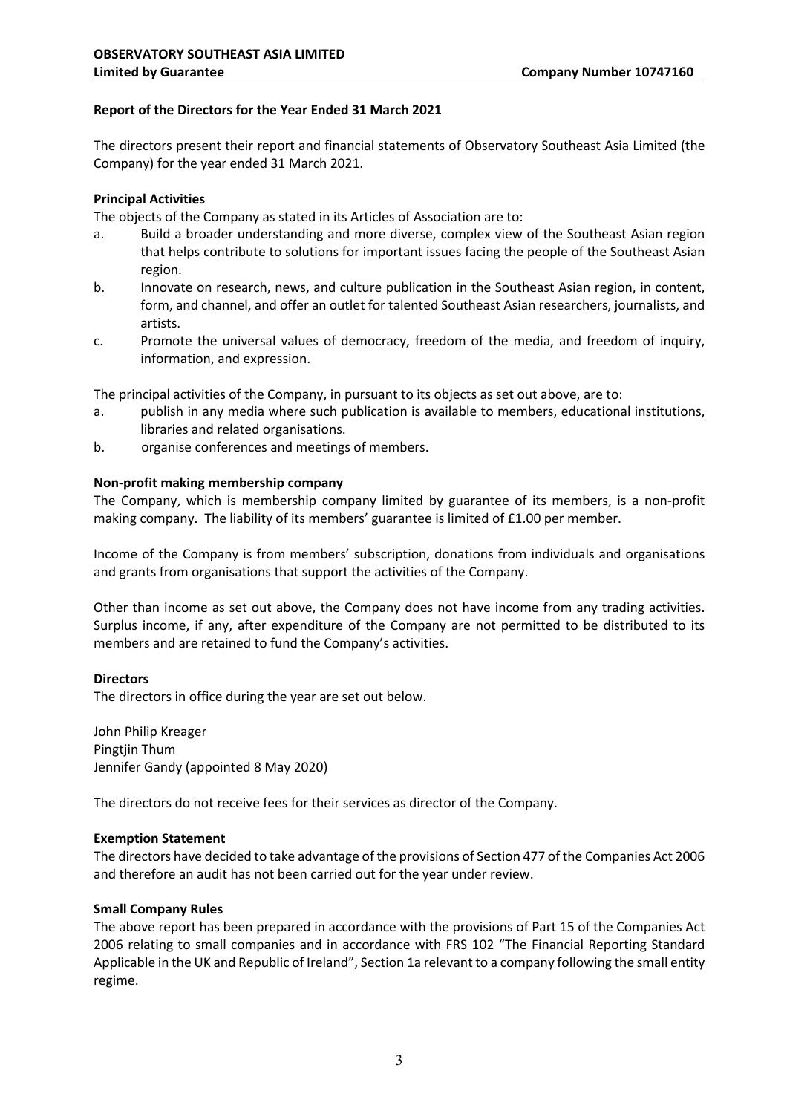# **Report of the Directors for the Year Ended 31 March 2021**

The directors present their report and financial statements of Observatory Southeast Asia Limited (the Company) for the year ended 31 March 2021.

# **Principal Activities**

The objects of the Company as stated in its Articles of Association are to:

- a. Build a broader understanding and more diverse, complex view of the Southeast Asian region that helps contribute to solutions for important issues facing the people of the Southeast Asian region.
- b. Innovate on research, news, and culture publication in the Southeast Asian region, in content, form, and channel, and offer an outlet for talented Southeast Asian researchers, journalists, and artists.
- c. Promote the universal values of democracy, freedom of the media, and freedom of inquiry, information, and expression.

The principal activities of the Company, in pursuant to its objects as set out above, are to:

- a. publish in any media where such publication is available to members, educational institutions, libraries and related organisations.
- b. organise conferences and meetings of members.

# **Non-profit making membership company**

The Company, which is membership company limited by guarantee of its members, is a non-profit making company. The liability of its members' guarantee is limited of £1.00 per member.

Income of the Company is from members' subscription, donations from individuals and organisations and grants from organisations that support the activities of the Company.

Other than income as set out above, the Company does not have income from any trading activities. Surplus income, if any, after expenditure of the Company are not permitted to be distributed to its members and are retained to fund the Company's activities.

# **Directors**

The directors in office during the year are set out below.

John Philip Kreager Pingtjin Thum Jennifer Gandy (appointed 8 May 2020)

The directors do not receive fees for their services as director of the Company.

# **Exemption Statement**

The directors have decided to take advantage of the provisions of Section 477 of the Companies Act 2006 and therefore an audit has not been carried out for the year under review.

# **Small Company Rules**

The above report has been prepared in accordance with the provisions of Part 15 of the Companies Act 2006 relating to small companies and in accordance with FRS 102 "The Financial Reporting Standard Applicable in the UK and Republic of Ireland", Section 1a relevant to a company following the small entity regime.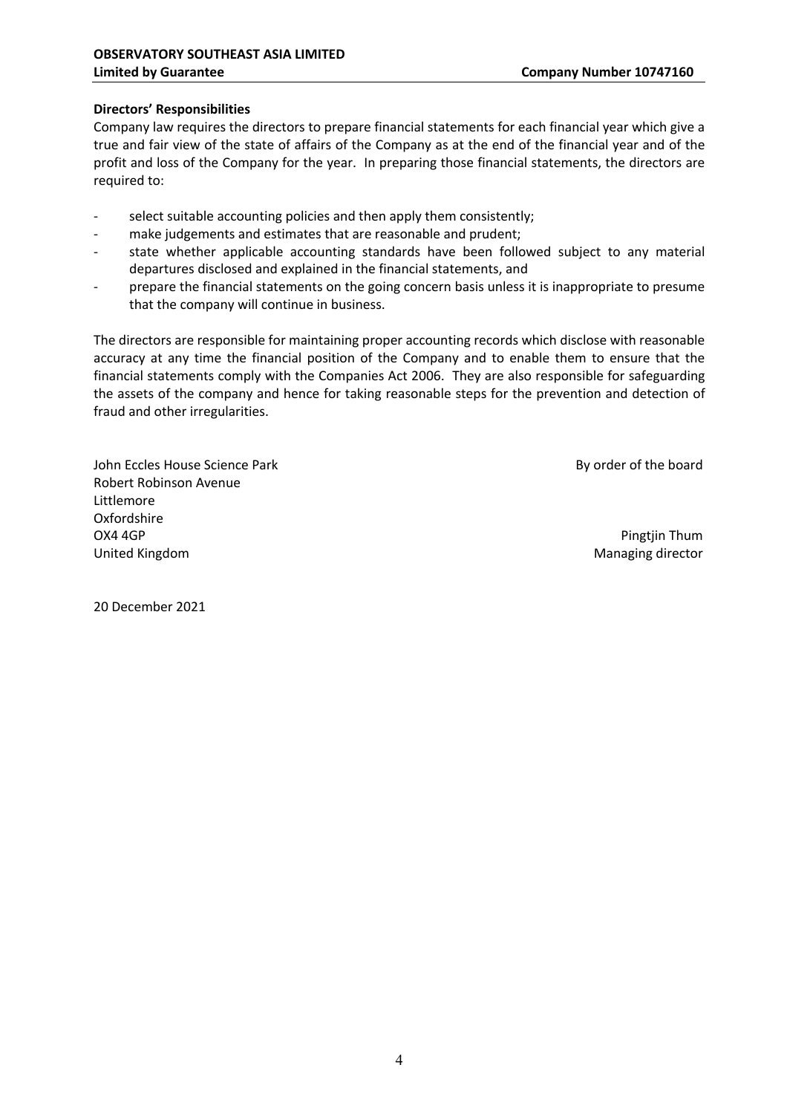# **Directors' Responsibilities**

Company law requires the directors to prepare financial statements for each financial year which give a true and fair view of the state of affairs of the Company as at the end of the financial year and of the profit and loss of the Company for the year. In preparing those financial statements, the directors are required to:

- select suitable accounting policies and then apply them consistently;
- make judgements and estimates that are reasonable and prudent;
- state whether applicable accounting standards have been followed subject to any material departures disclosed and explained in the financial statements, and
- prepare the financial statements on the going concern basis unless it is inappropriate to presume that the company will continue in business.

The directors are responsible for maintaining proper accounting records which disclose with reasonable accuracy at any time the financial position of the Company and to enable them to ensure that the financial statements comply with the Companies Act 2006. They are also responsible for safeguarding the assets of the company and hence for taking reasonable steps for the prevention and detection of fraud and other irregularities.

John Eccles House Science Park By order of the board Robert Robinson Avenue Littlemore Oxfordshire OX4 4GP Pingtjin Thum United Kingdom **Managing director Managing director Managing director** 

20 December 2021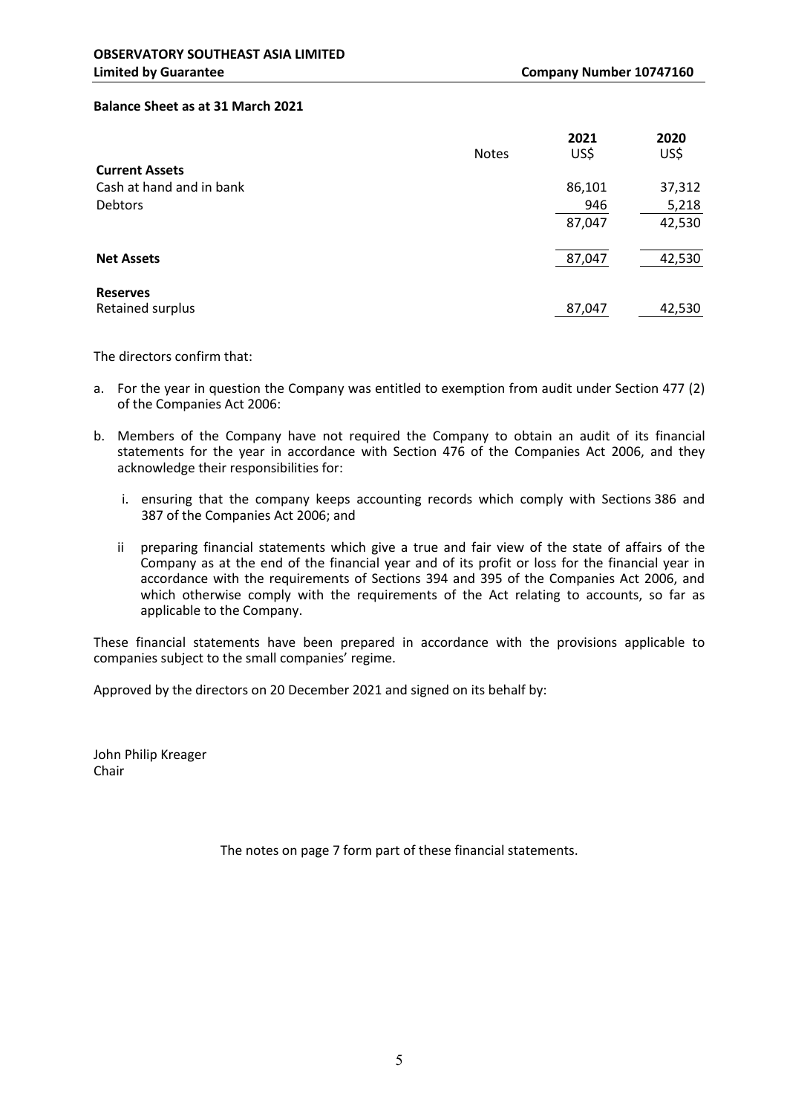#### **Balance Sheet as at 31 March 2021**

|                          | <b>Notes</b> | 2021<br>US\$ | 2020<br>US\$ |
|--------------------------|--------------|--------------|--------------|
| <b>Current Assets</b>    |              |              |              |
| Cash at hand and in bank |              | 86,101       | 37,312       |
| <b>Debtors</b>           |              | 946          | 5,218        |
|                          |              | 87,047       | 42,530       |
| <b>Net Assets</b>        |              | 87,047       | 42,530       |
| <b>Reserves</b>          |              |              |              |
| Retained surplus         |              | 87,047       | 42,530       |

The directors confirm that:

- a. For the year in question the Company was entitled to exemption from audit under Section 477 (2) of the Companies Act 2006:
- b. Members of the Company have not required the Company to obtain an audit of its financial statements for the year in accordance with Section 476 of the Companies Act 2006, and they acknowledge their responsibilities for:
	- i. ensuring that the company keeps accounting records which comply with Sections 386 and 387 of the Companies Act 2006; and
	- ii preparing financial statements which give a true and fair view of the state of affairs of the Company as at the end of the financial year and of its profit or loss for the financial year in accordance with the requirements of Sections 394 and 395 of the Companies Act 2006, and which otherwise comply with the requirements of the Act relating to accounts, so far as applicable to the Company.

These financial statements have been prepared in accordance with the provisions applicable to companies subject to the small companies' regime.

Approved by the directors on 20 December 2021 and signed on its behalf by:

John Philip Kreager Chair

The notes on page 7 form part of these financial statements.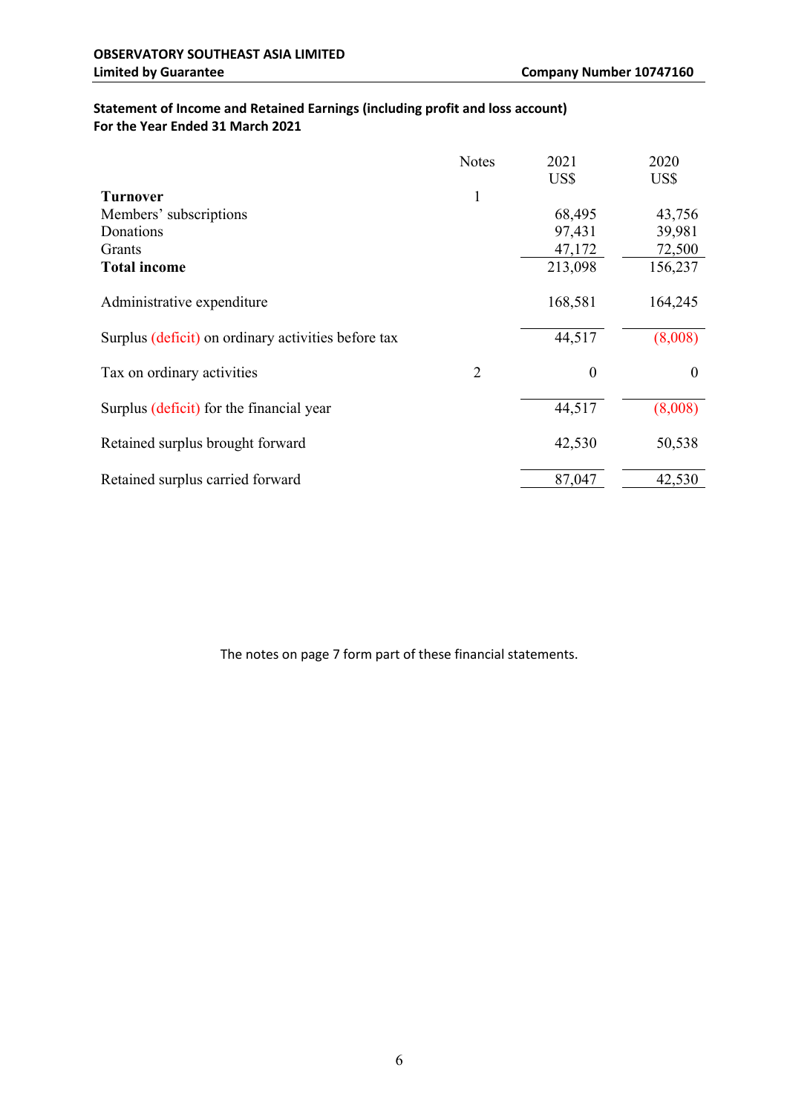# **Statement of Income and Retained Earnings (including profit and loss account) For the Year Ended 31 March 2021**

|                                                     | <b>Notes</b>   | 2021             | 2020     |
|-----------------------------------------------------|----------------|------------------|----------|
|                                                     |                | US\$             | US\$     |
| <b>Turnover</b>                                     | $\mathbf{1}$   |                  |          |
| Members' subscriptions                              |                | 68,495           | 43,756   |
| Donations                                           |                | 97,431           | 39,981   |
| Grants                                              |                | 47,172           | 72,500   |
| <b>Total income</b>                                 |                | 213,098          | 156,237  |
| Administrative expenditure                          |                | 168,581          | 164,245  |
| Surplus (deficit) on ordinary activities before tax |                | 44,517           | (8,008)  |
| Tax on ordinary activities                          | $\overline{2}$ | $\boldsymbol{0}$ | $\theta$ |
| Surplus (deficit) for the financial year            |                | 44,517           | (8,008)  |
| Retained surplus brought forward                    |                | 42,530           | 50,538   |
| Retained surplus carried forward                    |                | 87,047           | 42,530   |

The notes on page 7 form part of these financial statements.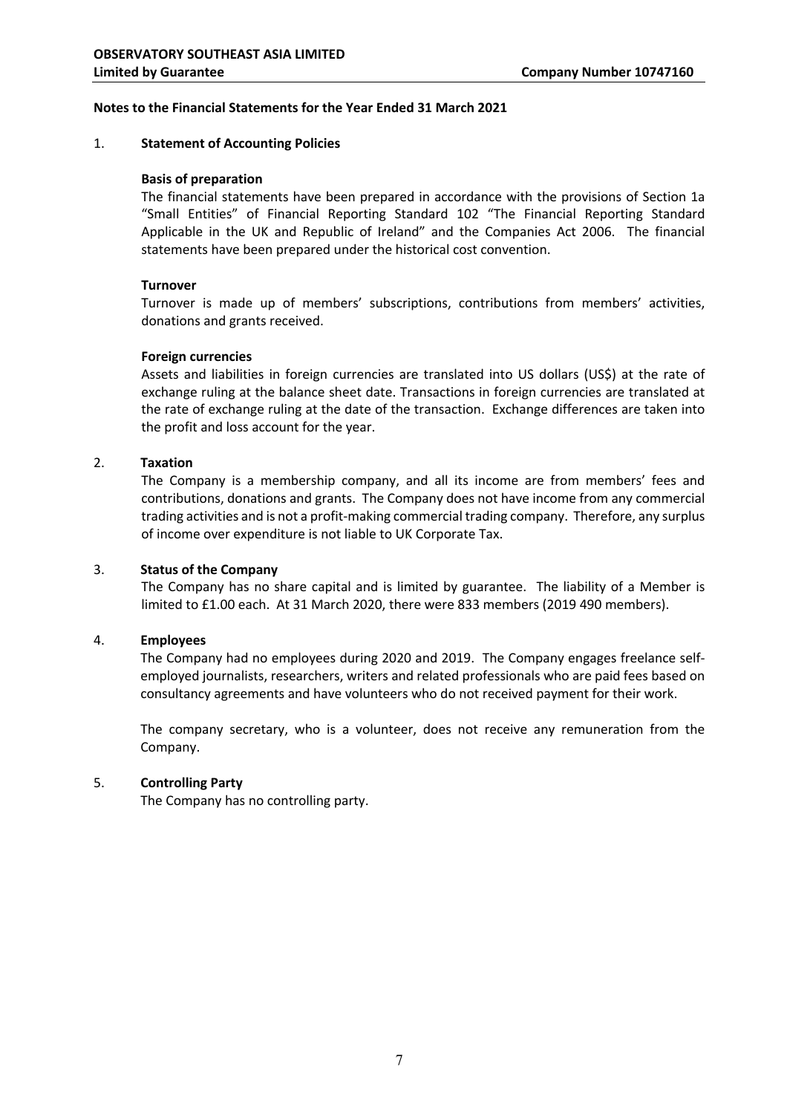## **Notes to the Financial Statements for the Year Ended 31 March 2021**

## 1. **Statement of Accounting Policies**

## **Basis of preparation**

The financial statements have been prepared in accordance with the provisions of Section 1a "Small Entities" of Financial Reporting Standard 102 "The Financial Reporting Standard Applicable in the UK and Republic of Ireland" and the Companies Act 2006. The financial statements have been prepared under the historical cost convention.

## **Turnover**

Turnover is made up of members' subscriptions, contributions from members' activities, donations and grants received.

## **Foreign currencies**

Assets and liabilities in foreign currencies are translated into US dollars (US\$) at the rate of exchange ruling at the balance sheet date. Transactions in foreign currencies are translated at the rate of exchange ruling at the date of the transaction. Exchange differences are taken into the profit and loss account for the year.

# 2. **Taxation**

The Company is a membership company, and all its income are from members' fees and contributions, donations and grants. The Company does not have income from any commercial trading activities and is not a profit-making commercial trading company. Therefore, any surplus of income over expenditure is not liable to UK Corporate Tax.

#### 3. **Status of the Company**

The Company has no share capital and is limited by guarantee. The liability of a Member is limited to £1.00 each. At 31 March 2020, there were 833 members (2019 490 members).

# 4. **Employees**

The Company had no employees during 2020 and 2019. The Company engages freelance selfemployed journalists, researchers, writers and related professionals who are paid fees based on consultancy agreements and have volunteers who do not received payment for their work.

The company secretary, who is a volunteer, does not receive any remuneration from the Company.

# 5. **Controlling Party**

The Company has no controlling party.